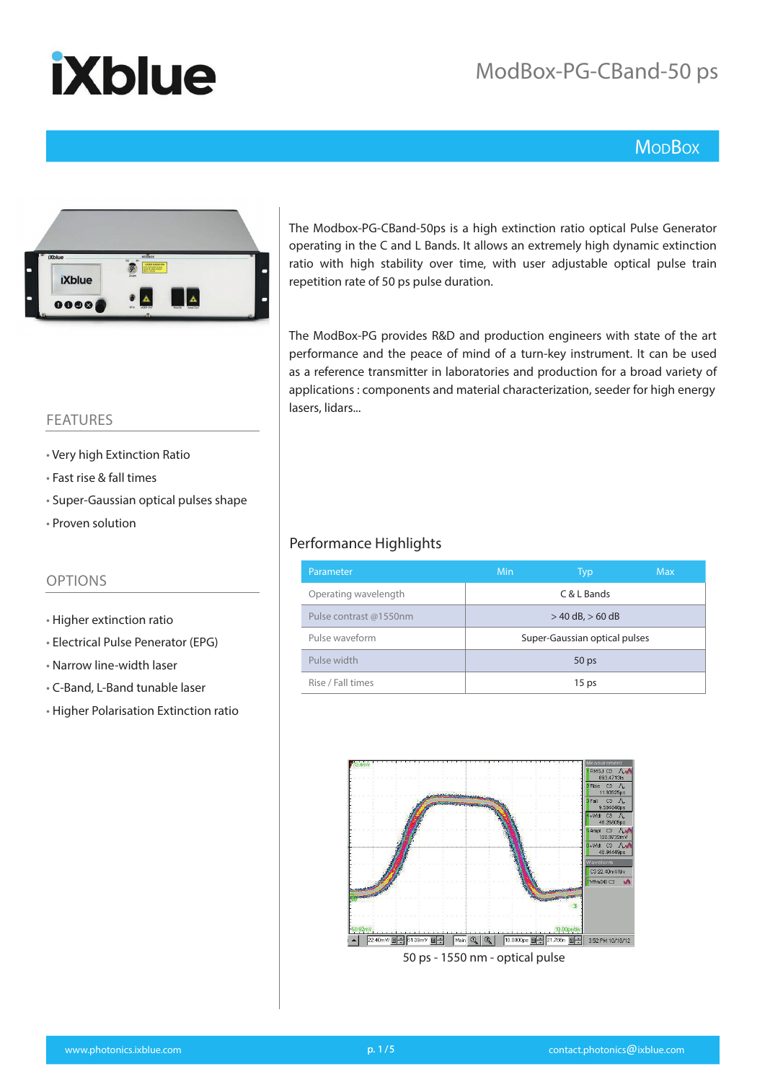## ModBox-PG-CBand-50 ps

### **MopBox**



The Modbox-PG-CBand-50ps is a high extinction ratio optical Pulse Generator operating in the C and L Bands. It allows an extremely high dynamic extinction ratio with high stability over time, with user adjustable optical pulse train repetition rate of 50 ps pulse duration.

The ModBox-PG provides R&D and production engineers with state of the art performance and the peace of mind of a turn-key instrument. It can be used as a reference transmitter in laboratories and production for a broad variety of applications : components and material characterization, seeder for high energy lasers, lidars...

### FEATURES

- Very high Extinction Ratio
- Fast rise & fall times
- Super-Gaussian optical pulses shape
- Proven solution

### OPTIONS

- Higher extinction ratio
- Electrical Pulse Penerator (EPG)
- Narrow line-width laser
- C-Band, L-Band tunable laser
- Higher Polarisation Extinction ratio

#### Performance Highlights

| Parameter              | <b>Min</b>                    | Typ              | <b>Max</b> |  |
|------------------------|-------------------------------|------------------|------------|--|
| Operating wavelength   |                               | C & L Bands      |            |  |
| Pulse contrast @1550nm | $>$ 40 dB, $>$ 60 dB          |                  |            |  |
| Pulse waveform         | Super-Gaussian optical pulses |                  |            |  |
| Pulse width            |                               | 50 <sub>ps</sub> |            |  |
| Rise / Fall times      |                               | 15 <sub>ps</sub> |            |  |

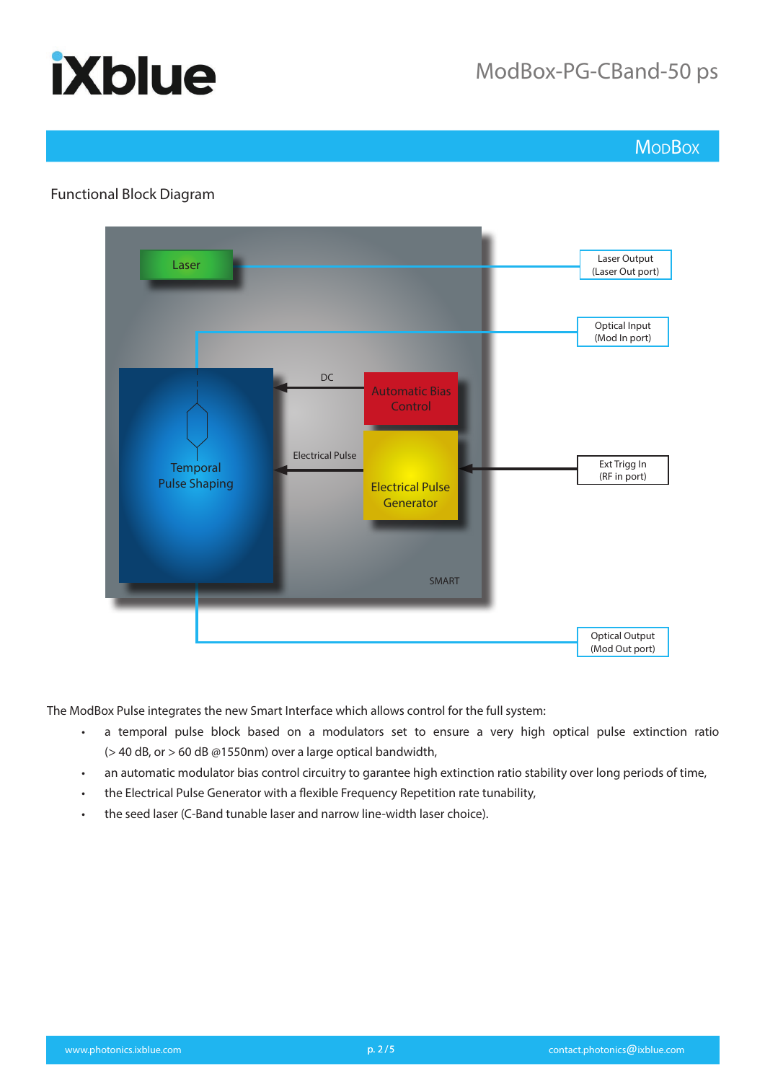### ModBox-PG-CBand-50 ps

**Mo<sub>D</sub>Box** 

### Functional Block Diagram



The ModBox Pulse integrates the new Smart Interface which allows control for the full system:

- a temporal pulse block based on a modulators set to ensure a very high optical pulse extinction ratio  $(> 40$  dB, or  $> 60$  dB @1550nm) over a large optical bandwidth,
- an automatic modulator bias control circuitry to garantee high extinction ratio stability over long periods of time,
- the Electrical Pulse Generator with a flexible Frequency Repetition rate tunability,
- the seed laser (C-Band tunable laser and narrow line-width laser choice).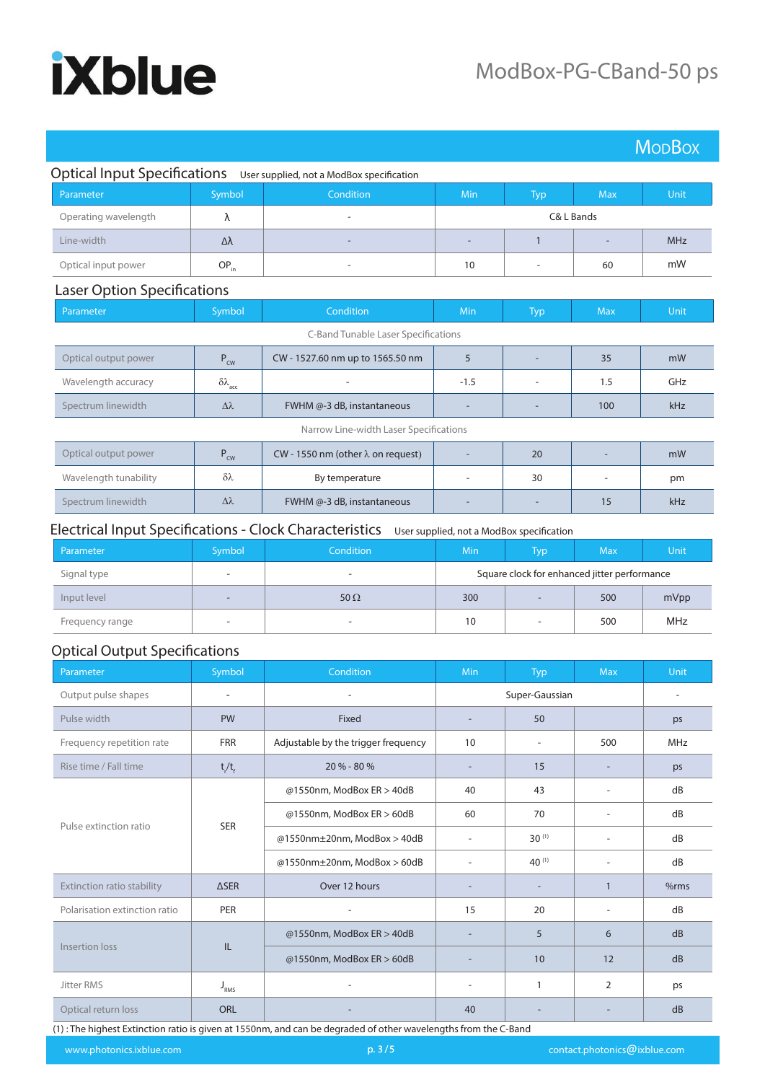|                                        |                               |                                           |                          |                          |                          | <b>MopBox</b> |
|----------------------------------------|-------------------------------|-------------------------------------------|--------------------------|--------------------------|--------------------------|---------------|
| <b>Optical Input Specifications</b>    |                               | User supplied, not a ModBox specification |                          |                          |                          |               |
| Parameter                              | Symbol                        | Condition                                 | Min                      | <b>Typ</b>               | <b>Max</b>               | Unit,         |
| Operating wavelength                   | λ                             |                                           |                          |                          | C& L Bands               |               |
| Line-width                             | Δλ                            |                                           | $\overline{a}$           | 1                        |                          | <b>MHz</b>    |
| Optical input power                    | $OP_{in}$                     | ٠                                         | 10                       | $\overline{\phantom{a}}$ | 60                       | mW            |
| <b>Laser Option Specifications</b>     |                               |                                           |                          |                          |                          |               |
| Parameter                              | Symbol                        | Condition                                 | Min                      | <b>Typ</b>               | <b>Max</b>               | Unit          |
| C-Band Tunable Laser Specifications    |                               |                                           |                          |                          |                          |               |
| Optical output power                   | $P_{\text{cw}}$               | CW - 1527.60 nm up to 1565.50 nm          | 5                        |                          | 35                       | mW            |
| Wavelength accuracy                    | $\delta \lambda_{\text{acc}}$ |                                           | $-1.5$                   | $\overline{a}$           | 1.5                      | GHz           |
| Spectrum linewidth                     | $\Delta \lambda$              | FWHM @-3 dB, instantaneous                |                          |                          | 100                      | kHz           |
| Narrow Line-width Laser Specifications |                               |                                           |                          |                          |                          |               |
| Optical output power                   | $P_{\text{cw}}$               | CW - 1550 nm (other $\lambda$ on request) |                          | 20                       |                          | mW            |
| Wavelength tunability                  | $\delta\lambda$               | By temperature                            | $\overline{\phantom{m}}$ | 30                       | $\overline{\phantom{a}}$ | pm            |
| Spectrum linewidth                     | $\Delta\lambda$               | FWHM @-3 dB, instantaneous                |                          |                          | 15                       | kHz           |

### Electrical Input Specifications - Clock Characteristics User supplied, not a ModBox specification

| Parameter       | Symbol                   | <b>Condition</b>         | Min | $\mathsf{Typ}^{\backslash}$                  | <b>Max</b> | Unit       |
|-----------------|--------------------------|--------------------------|-----|----------------------------------------------|------------|------------|
| Signal type     | $\overline{\phantom{a}}$ | $\sim$                   |     | Square clock for enhanced jitter performance |            |            |
| Input level     |                          | 50 $\Omega$              | 300 | $\overline{\phantom{a}}$                     | 500        | mVpp       |
| Frequency range | -                        | $\overline{\phantom{0}}$ | 10  | $\overline{\phantom{a}}$                     | 500        | <b>MHz</b> |

#### Optical Output Specifications

| Parameter                            | Symbol                            | Condition                           | <b>Min</b>               | <b>Typ</b>               | <b>Max</b>               | Unit |
|--------------------------------------|-----------------------------------|-------------------------------------|--------------------------|--------------------------|--------------------------|------|
| Output pulse shapes                  |                                   |                                     |                          | Super-Gaussian           |                          |      |
| Pulse width                          | <b>PW</b>                         | Fixed                               | $\overline{\phantom{a}}$ | 50                       |                          | ps   |
| Frequency repetition rate            | <b>FRR</b>                        | Adjustable by the trigger frequency | 10                       | ۰                        | 500                      | MHz  |
| Rise time / Fall time                | $t/t_f$                           | 20 % - 80 %                         | $\overline{\phantom{a}}$ | 15                       | $\overline{\phantom{a}}$ | ps   |
| <b>SER</b><br>Pulse extinction ratio |                                   | @1550nm, ModBox ER > 40dB           | 40                       | 43                       | $\overline{\phantom{m}}$ | dB   |
|                                      |                                   | @1550nm, ModBox ER > 60dB           | 60                       | 70                       | $\overline{\phantom{a}}$ | dB   |
|                                      |                                   | @1550nm±20nm, ModBox > 40dB         | ٠                        | $30^{(1)}$               |                          | dB   |
|                                      | @1550nm $\pm$ 20nm, ModBox > 60dB |                                     | $40^{(1)}$               | $\overline{\phantom{a}}$ | dB                       |      |
| Extinction ratio stability           | $\triangle$ SER                   | Over 12 hours                       |                          |                          | $\overline{1}$           | %rms |
| Polarisation extinction ratio        | PER                               |                                     | 15                       | 20                       | ٠                        | dB   |
| Insertion loss<br>IL.                |                                   | @1550nm, ModBox ER > 40dB           | $\overline{\phantom{a}}$ | 5                        | 6                        | dB   |
|                                      |                                   | @1550nm, ModBox ER > 60dB           |                          | 10                       | 12                       | dB   |
| <b>Jitter RMS</b>                    | $\mathsf{J}_{\textsc{RMS}}$       |                                     | ٠                        | 1                        | $\overline{2}$           | ps   |
| Optical return loss                  | <b>ORL</b>                        |                                     | 40                       |                          |                          | dB   |

(1) : The highest Extinction ratio is given at 1550nm, and can be degraded of other wavelengths from the C-Band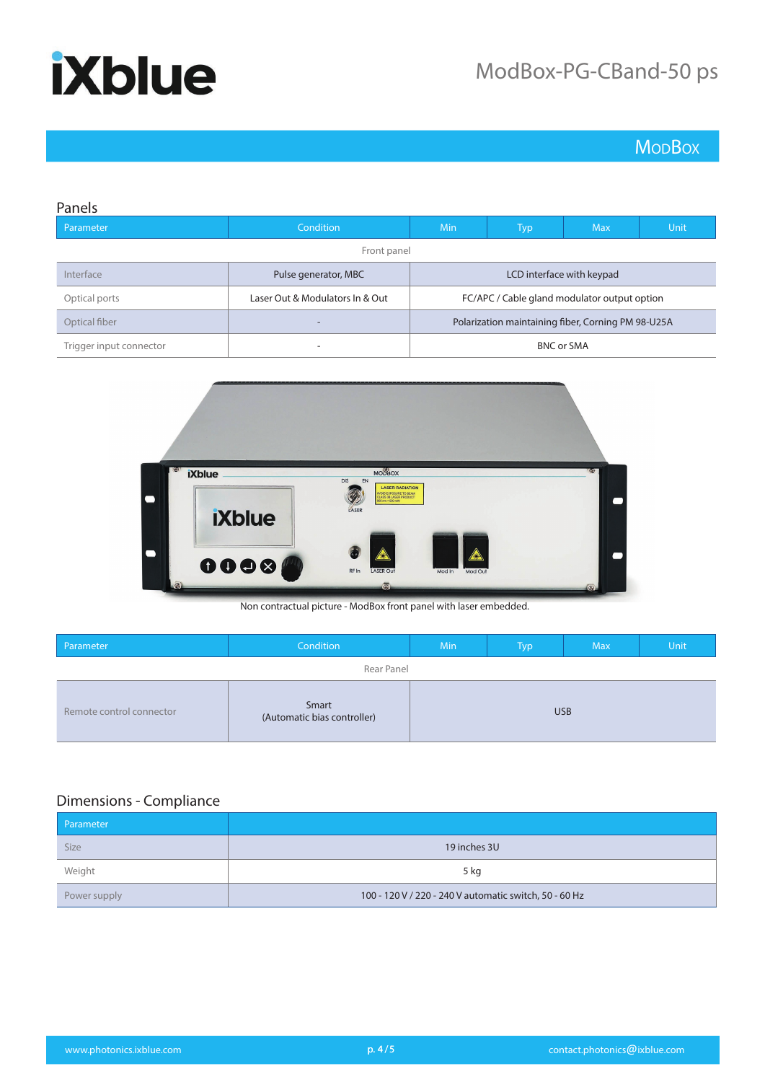**MoDBox** 

| Panels                  |                                 |                                                    |            |             |  |
|-------------------------|---------------------------------|----------------------------------------------------|------------|-------------|--|
| Parameter               | <b>Condition</b>                | <b>Typ</b>                                         | <b>Max</b> | <b>Unit</b> |  |
|                         | Front panel                     |                                                    |            |             |  |
| Interface               | Pulse generator, MBC            | LCD interface with keypad                          |            |             |  |
| Optical ports           | Laser Out & Modulators In & Out | FC/APC / Cable gland modulator output option       |            |             |  |
| Optical fiber           | $\overline{\phantom{a}}$        | Polarization maintaining fiber, Corning PM 98-U25A |            |             |  |
| Trigger input connector | -                               | <b>BNC or SMA</b>                                  |            |             |  |



Non contractual picture - ModBox front panel with laser embedded.

| Parameter                | Condition                            | Min | Typ | <b>Max</b> | Unit |
|--------------------------|--------------------------------------|-----|-----|------------|------|
|                          | Rear Panel                           |     |     |            |      |
| Remote control connector | Smart<br>(Automatic bias controller) |     |     | <b>USB</b> |      |

### Dimensions - Compliance

| Parameter    |                                                        |
|--------------|--------------------------------------------------------|
| <b>Size</b>  | 19 inches 3U                                           |
| Weight       | 5 kg                                                   |
| Power supply | 100 - 120 V / 220 - 240 V automatic switch, 50 - 60 Hz |